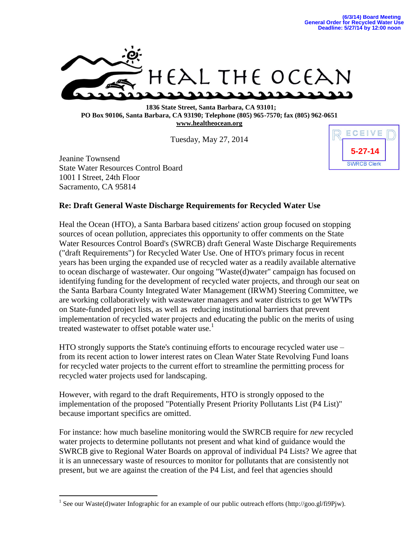

 **1836 State Street, Santa Barbara, CA 93101; PO Box 90106, Santa Barbara, CA 93190; Telephone (805) 965-7570; fax (805) 962-0651 [www.healtheocean.org](http://www.healtheocean.org/)**

Tuesday, May 27, 2014

Jeanine Townsend State Water Resources Control Board 1001 I Street, 24th Floor Sacramento, CA 95814

 $\overline{a}$ 



## **Re: Draft General Waste Discharge Requirements for Recycled Water Use**

Heal the Ocean (HTO), a Santa Barbara based citizens' action group focused on stopping sources of ocean pollution, appreciates this opportunity to offer comments on the State Water Resources Control Board's (SWRCB) draft General Waste Discharge Requirements ("draft Requirements") for Recycled Water Use. One of HTO's primary focus in recent years has been urging the expanded use of recycled water as a readily available alternative to ocean discharge of wastewater. Our ongoing "Waste(d)water" campaign has focused on identifying funding for the development of recycled water projects, and through our seat on the Santa Barbara County Integrated Water Management (IRWM) Steering Committee, we are working collaboratively with wastewater managers and water districts to get WWTPs on State-funded project lists, as well as reducing institutional barriers that prevent implementation of recycled water projects and educating the public on the merits of using treated wastewater to offset potable water use.<sup>1</sup>

HTO strongly supports the State's continuing efforts to encourage recycled water use – from its recent action to lower interest rates on Clean Water State Revolving Fund loans for recycled water projects to the current effort to streamline the permitting process for recycled water projects used for landscaping.

However, with regard to the draft Requirements, HTO is strongly opposed to the implementation of the proposed "Potentially Present Priority Pollutants List (P4 List)" because important specifics are omitted.

For instance: how much baseline monitoring would the SWRCB require for *new* recycled water projects to determine pollutants not present and what kind of guidance would the SWRCB give to Regional Water Boards on approval of individual P4 Lists? We agree that it is an unnecessary waste of resources to monitor for pollutants that are consistently not present, but we are against the creation of the P4 List, and feel that agencies should

<sup>&</sup>lt;sup>1</sup> See our Waste(d)water Infographic for an example of our public outreach efforts (http://goo.gl/fi9Pjw).